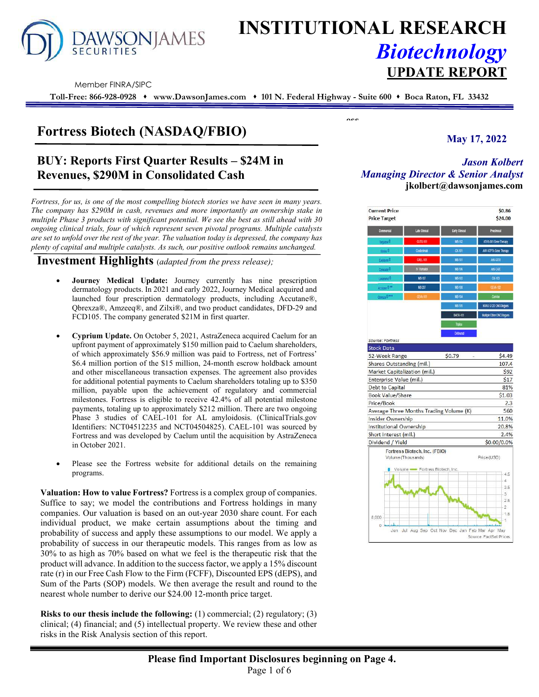

# **INSTITUTIONAL RESEARCH** *Biotechnology* **UPDATE REPORT**

**ess** 

Member FINRA/SIPC

**Toll-Free: 866-928-0928 www.DawsonJames.com 101 N. Federal Highway - Suite 600 Boca Raton, FL 33432**

# **Fortress Biotech (NASDAQ/FBIO) May 17, 2022**

# **BUY: Reports First Quarter Results – \$24M in Revenues, \$290M in Consolidated Cash**

*Fortress, for us, is one of the most compelling biotech stories we have seen in many years. The company has \$290M in cash, revenues and more importantly an ownership stake in multiple Phase 3 products with significant potential. We see the best as still ahead with 30 ongoing clinical trials, four of which represent seven pivotal programs. Multiple catalysts are set to unfold over the rest of the year. The valuation today is depressed, the company has plenty of capital and multiple catalysts. As such, our positive outlook remains unchanged.* 

### **Investment Highlights** (*adapted from the press release);*

- **Journey Medical Update:** Journey currently has nine prescription dermatology products. In 2021 and early 2022, Journey Medical acquired and launched four prescription dermatology products, including Accutane®, Qbrexza®, Amzeeq®, and Zilxi®, and two product candidates, DFD-29 and FCD105. The company generated \$21M in first quarter.
- **Cyprium Update.** On October 5, 2021, AstraZeneca acquired Caelum for an upfront payment of approximately \$150 million paid to Caelum shareholders, of which approximately \$56.9 million was paid to Fortress, net of Fortress' \$6.4 million portion of the \$15 million, 24-month escrow holdback amount and other miscellaneous transaction expenses. The agreement also provides for additional potential payments to Caelum shareholders totaling up to \$350 million, payable upon the achievement of regulatory and commercial milestones. Fortress is eligible to receive 42.4% of all potential milestone payments, totaling up to approximately \$212 million. There are two ongoing Phase 3 studies of CAEL-101 for AL amyloidosis. (ClinicalTrials.gov Identifiers: NCT04512235 and NCT04504825). CAEL-101 was sourced by Fortress and was developed by Caelum until the acquisition by AstraZeneca in October 2021.
- Please see the Fortress website for additional details on the remaining programs.

**Valuation: How to value Fortress?** Fortress is a complex group of companies. Suffice to say; we model the contributions and Fortress holdings in many companies. Our valuation is based on an out-year 2030 share count. For each individual product, we make certain assumptions about the timing and probability of success and apply these assumptions to our model. We apply a probability of success in our therapeutic models. This ranges from as low as 30% to as high as 70% based on what we feel is the therapeutic risk that the product will advance. In addition to the success factor, we apply a 15% discount rate (r) in our Free Cash Flow to the Firm (FCFF), Discounted EPS (dEPS), and Sum of the Parts (SOP) models. We then average the result and round to the nearest whole number to derive our \$24.00 12-month price target.

**Risks to our thesis include the following:** (1) commercial; (2) regulatory; (3) clinical; (4) financial; and (5) intellectual property. We review these and other risks in the Risk Analysis section of this report.

# *Jason Kolbert Managing Director & Senior Analyst*  **jkolbert@dawsonjames.com**

| <b>Current Price</b><br><b>Price Target</b> |                                                     |                 | \$0.86<br>\$24.00        |
|---------------------------------------------|-----------------------------------------------------|-----------------|--------------------------|
| Commercial                                  | Late Clinical                                       | Early Clinical  | <b>Precinical</b>        |
|                                             | <b>CUTX-101</b>                                     | MB-102          | ATVS-001 Gene Therapy    |
| Yesuid.                                     | Costelmab                                           | <b>OCAST</b>    | AAV-ATPTA Gene Therapy   |
| Fantom <sup>8</sup>                         | CAEL-101                                            | MB-101          | AN-GITR                  |
| Oracade 8                                   | IV Transdol                                         | MB-106          | AND CAZE                 |
| Luxanetd <sup>®</sup>                       | MB-107                                              | M6.503          | <b>DC-103</b>            |
| Accurate & ##                               | MS-207                                              | M6-108          |                          |
| <b>ODRATO BALL</b>                          |                                                     | M6-104          | Contact                  |
|                                             |                                                     | M6-125          | KRAS G12D ONCOLOGUES     |
|                                             |                                                     | <b>BAER-101</b> | Mutiple Other ONCOlogues |
|                                             |                                                     | Triplex         |                          |
|                                             |                                                     | <b>Dolmurad</b> |                          |
| Source: Fortress                            |                                                     |                 |                          |
| <b>Stock Data</b>                           |                                                     |                 |                          |
| 52-Week Range                               |                                                     | \$0.79          | \$4.49                   |
| Shares Outstanding (mil.)                   |                                                     |                 | 107.4                    |
|                                             | Market Capitalization (mil.)                        |                 | \$92                     |
| Enterprise Value (mil.)                     |                                                     |                 | <b>S17</b>               |
| Debt to Capital                             |                                                     |                 | 81%                      |
| <b>Book Value/Share</b>                     |                                                     |                 | \$1.03                   |
| Price/Book                                  |                                                     |                 | 2.3                      |
| Insider Ownership                           | Average Three Months Trading Volume (K)             |                 | 560<br>11.0%             |
| Institutional Ownership                     |                                                     |                 | 20.8%                    |
| Short interest (mil.)                       |                                                     |                 | 2.4%                     |
| Dividend / Yield                            |                                                     |                 | \$0.00/0.0%              |
|                                             | Fortress Biotech, Inc. (FBIO)<br>Volume (Thousands) |                 | Price (USD)              |
|                                             | Volume - Fortress Biotech, Inc.                     |                 | $-4.5$                   |
|                                             |                                                     |                 | $\cdot$<br>3.5           |
|                                             |                                                     |                 | $\cdot$ <sub>3</sub>     |
|                                             |                                                     |                 | 2.5                      |
|                                             |                                                     |                 | $-2$                     |
|                                             |                                                     |                 | $-1.5$                   |
| 8,000                                       |                                                     |                 | 1                        |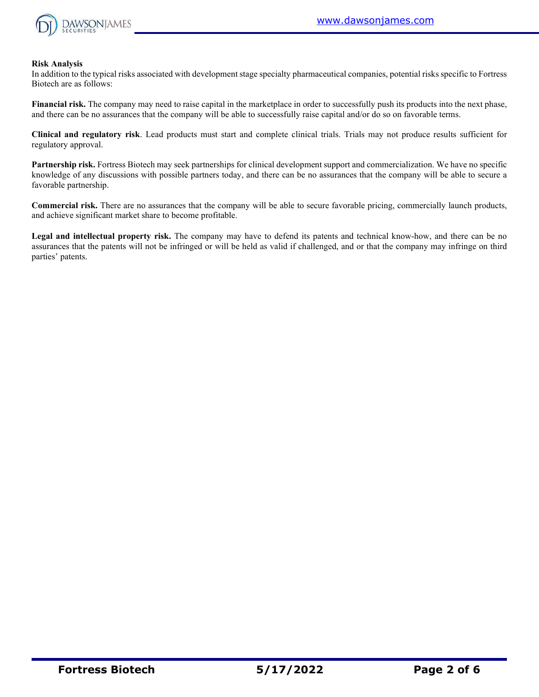

#### **Risk Analysis**

In addition to the typical risks associated with development stage specialty pharmaceutical companies, potential risks specific to Fortress Biotech are as follows:

**Financial risk.** The company may need to raise capital in the marketplace in order to successfully push its products into the next phase, and there can be no assurances that the company will be able to successfully raise capital and/or do so on favorable terms.

**Clinical and regulatory risk**. Lead products must start and complete clinical trials. Trials may not produce results sufficient for regulatory approval.

**Partnership risk.** Fortress Biotech may seek partnerships for clinical development support and commercialization. We have no specific knowledge of any discussions with possible partners today, and there can be no assurances that the company will be able to secure a favorable partnership.

**Commercial risk.** There are no assurances that the company will be able to secure favorable pricing, commercially launch products, and achieve significant market share to become profitable.

**Legal and intellectual property risk.** The company may have to defend its patents and technical know-how, and there can be no assurances that the patents will not be infringed or will be held as valid if challenged, and or that the company may infringe on third parties' patents.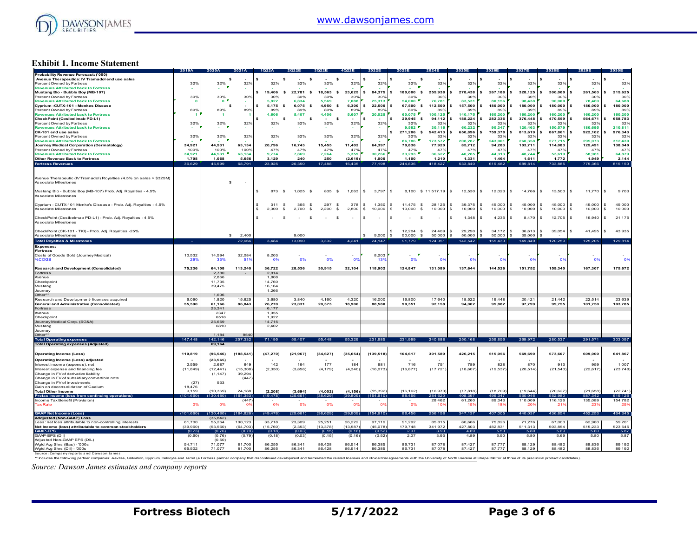

#### **Exhibit 1. Income Statement**

|                                                                                   | 2019A      | 2020A           | 2021A           |                              |                       |                       |                | 2022E              | 2023E          | 2024E                        | 2025E                         | 2026E                    | 2027E                 | 2028E                      | 2029E                         | 2030E                           |
|-----------------------------------------------------------------------------------|------------|-----------------|-----------------|------------------------------|-----------------------|-----------------------|----------------|--------------------|----------------|------------------------------|-------------------------------|--------------------------|-----------------------|----------------------------|-------------------------------|---------------------------------|
| Probability Revenue Forecast: ('000)                                              |            |                 |                 |                              |                       |                       |                |                    |                |                              |                               |                          |                       |                            |                               |                                 |
| Avenue Therapeutics: IV Tramadol end use sales                                    |            |                 | s               | s                            | \$                    |                       |                | s                  |                |                              |                               |                          |                       |                            |                               |                                 |
| Percent Owned by Fortress                                                         | 32%        | 32%             | 32%             | 32%                          | 32%                   | 32%                   | 32%            | 32%                | 32%            | 32%                          | 32%                           | 32%                      | 32%                   | 32%                        | 32%                           | 32%                             |
| <b>Revenues Attributed back to Fortress</b>                                       |            |                 |                 |                              |                       |                       |                |                    |                |                              |                               |                          |                       |                            |                               |                                 |
| Mustang Bio - Bubble Boy (MB-107)                                                 |            |                 |                 | 19,406<br>$\mathbf{s}$<br>s. | 22.781<br>\$          | 18,563<br>-S          | 23,625         | $84,375$ \$<br>\$. | 180,000        | 255,938                      | 278,438<br>s                  | 267,188<br>\$.           | 328,125<br>Is         | 300,000<br>s               | 261,563                       | 215,625<br>s                    |
| Percent Owned by Fortress                                                         | 30%        | 30%             | 30 <sup>o</sup> | 30%                          | 30%                   | 30%                   | 30%            | 30%                | 30%            | 30%                          | 30%                           | 30%                      | 30%                   | 30%                        | 30%                           | 30%                             |
| <b>Revenues Attributed back to Fortress</b>                                       |            | x               |                 | 5.822                        | 6.834                 | 5.569                 | 7.088          | 25.313             | 54,000         | 76,781                       | 83.531                        | 80,156                   | 98.438                | 90,000                     | 78.469                        | 64.688                          |
| Cyprium -CUTX-101 - Menkes Disease                                                |            |                 | $\epsilon$      | 5.175<br>- \$                | 6,075<br>- \$         | 4.950<br>$\mathbf{s}$ | 6,300          | $22.500$ S         | 67,500         | 112,500<br>$\epsilon$        | $\hat{\mathbf{z}}$<br>157,500 | s.<br>180,000            | Is<br>180,000         | 180,000<br>$\epsilon$      | 180,000<br>$\hat{\mathbf{z}}$ | 180,000                         |
| Percent Owned by Fortress                                                         | 89%        | 89%             | 89%             | 89%                          | 89%                   | 89%                   | 89%            | 89%                | 89%            | 89 <sup>°</sup>              | 89%                           | 899                      | 89%                   | 899                        | 89%                           | 899                             |
| <b>Revenues Attributed back to Fortress</b>                                       |            |                 | - 1             | 4,606                        | 5,407                 | 4.406                 | 5,607          | 20.025             | 60.075         | 100.125                      | 140.175                       | 160,200                  | 160.200               | 160,200                    | 160.200                       | 160,200                         |
| CheckPoint (Cosibelimab PD-L1)                                                    |            |                 |                 | \$                           | \$                    | $\mathbf{s}$          |                |                    | 29,945         | 94,112                       | 188,224                       | $\epsilon$<br>282,336    | 376,448               | 470,559                    | 564,671                       | 658,783                         |
| Percent Owned by Fortress                                                         | 32%        | 32%             | 32%             | 32%                          | 32%                   | 32%                   | 32%            | 32%                | 32%            | 32 <sup>o</sup>              | 32%                           | 329                      | 32%                   | 329                        | 32%                           | 329                             |
| <b>Revenues Attributed back to Fortress</b>                                       |            |                 |                 |                              |                       |                       |                |                    | 9.582          | 30.116                       | 60.232                        | 90.347                   | 120,463               | 150.579                    | 180.695                       | 210.811                         |
| CK-101 end use sales                                                              |            |                 |                 |                              |                       |                       |                |                    | 271,206        | 542,413                      | 650,896                       | 759,378                  | 813,619               | 867,861                    | 922,102                       | 976,343                         |
|                                                                                   |            |                 |                 |                              |                       |                       |                |                    |                |                              |                               |                          | 32%                   |                            |                               |                                 |
| Percent Owned by Fortress                                                         | 32%        | 32%             | 32%             | 32%                          | 32%                   | 32%                   | 32%            | 32%                | 32%<br>86,786  | 32 <sup>o</sup><br>173,572   | 32%                           | $32^\circ$<br>243.001    | 260,358               | 32 <sup>o</sup><br>277.715 | 32%<br>295,073                | 32 <sup>o</sup>                 |
| <b>Revenues Attributed back to Fortress</b>                                       |            |                 |                 |                              |                       |                       |                |                    |                |                              | 208,287                       |                          |                       |                            |                               | 312,430                         |
| Journey Medical Corporation (Dermatology)                                         | 34.921     | 44.531          | 63,134          | 20.796                       | 16,743                | 15,455                | 11,402         | 64,397             | 70,836         | 77,920                       | 85,712                        | 94,283                   | 103,711               | 114,083                    | 125,491                       | 138,040                         |
| Percent Owned by Fortress                                                         | 100%       | 100%            | 100%            | 47%                          | 47%                   | 47%                   | 47%            | 47%                | 47%            | 47 <sup>°</sup>              | 47%                           | 47 <sup>°</sup>          | 47%                   | 47%                        | 47%                           | 47%                             |
| <b>Revenues Attributed back to Fortress</b>                                       | 34,921     | 44.531          | 63.134          | 9,774                        | 7,869                 | 7,264                 | 5,359          | 30,266             | 33,293         | 36,622                       | 40,285                        | 44,313                   | 48,744                | 53,619                     | 58,981                        | 64,879                          |
| <b>Other Revenue Back to Fortress</b>                                             | 1,708      | 1,068           | 5,656           | 3,129                        | 240                   | 250                   | (2,619)        | 1,000              | 1,100          | 1,210                        | 1,331                         | 1,464                    | 1,611                 | 1,772                      | 1,949                         | 2,144                           |
| <b>Fortress Revenues</b>                                                          | 36,629     | 45,599          | 68,791          | 23.925                       | 20,350                | 17,488                | 15,435         | 77,198             | 244.836        | 418.427                      | 533.840                       | 619,482                  | 689.814               | 733.885                    | 775,366                       | 815,150                         |
|                                                                                   |            |                 |                 |                              |                       |                       |                |                    |                |                              |                               |                          |                       |                            |                               |                                 |
|                                                                                   |            |                 |                 |                              |                       |                       |                |                    |                |                              |                               |                          |                       |                            |                               |                                 |
| Avenue Therapeutic (IV Tramadol) Royalties (4.5% on sales > \$325M)               |            |                 |                 |                              |                       |                       |                |                    |                |                              |                               |                          |                       |                            |                               |                                 |
| Associate Milestones                                                              |            |                 | \$.<br>$\sim$   |                              |                       |                       |                |                    |                |                              |                               |                          |                       |                            |                               |                                 |
|                                                                                   |            |                 |                 |                              |                       |                       |                |                    |                |                              |                               |                          |                       |                            |                               |                                 |
| Mustang Bio - Bubble Boy (MB-107) Prob. Adj. Royalties - 4.5%                     |            |                 |                 | 873                          | 1 0 2 5               |                       |                | S.                 |                |                              | I S                           | $\mathfrak{L}$           |                       | $\mathbf{s}$               |                               | 9,703<br>\$.                    |
|                                                                                   |            |                 |                 | s.<br>- \$                   | - \$                  | 835<br>- \$           | 1.063          | 3,797              | 8,100<br>IS.   | \$11,517.19                  | 12,530                        | 12,023                   | 14.766<br>$\sim$      | 13,500                     | 11,770<br>\$                  |                                 |
| Associate Milestones                                                              |            |                 |                 |                              |                       |                       |                |                    |                |                              |                               |                          |                       |                            |                               |                                 |
|                                                                                   |            |                 |                 |                              |                       |                       |                |                    |                |                              |                               |                          |                       |                            |                               |                                 |
| Cyprium - CUTX-101 Menke's Disease - Prob. Adj. Royalties - 4.5%                  |            |                 |                 | 311<br>- \$                  | 365<br>- \$           | 297<br>$\mathbf{s}$   | 378            | s.<br>1.350        | 11.475<br>- \$ | s.<br>28.125                 | $\mathbf{s}$<br>39.375        | s.<br>45,000             | l s<br>45,000         | s.<br>45,000               | 45.000<br>$\hat{\mathbf{z}}$  | s.<br>45,000                    |
| Associate Milestones                                                              |            |                 |                 | 2,300<br><b>S</b>            | 2,700<br>$\mathbf{s}$ | 2,200<br>-S           | 2,800          | $10,000$ \$<br>s.  | 10,000         | \$<br>10,000                 | 10,000<br>-S                  | 10,000<br>s.             | 10,000<br>l s         | 10,000<br>s.               | 10,000<br>- \$                | 10,000<br>s.                    |
|                                                                                   |            |                 |                 |                              |                       |                       |                |                    |                |                              |                               |                          |                       |                            |                               |                                 |
| CheckPoint (Cosibelmab PD-L1) - Prob. Adj. Royalties - 4.5%                       |            |                 |                 |                              | $\mathbf{s}$          |                       |                | S.                 |                |                              | 1,348<br>s                    | \$<br>4,235              | 8,470<br>$\mathbf{s}$ | s<br>12,705                | $\mathbf{s}$<br>16,940        | 21,175<br>s                     |
| Associate Milestones                                                              |            |                 |                 |                              |                       |                       |                |                    |                |                              |                               |                          |                       |                            |                               |                                 |
|                                                                                   |            |                 |                 |                              |                       |                       |                |                    |                |                              |                               |                          |                       |                            |                               |                                 |
| CheckPoint (CK-101 - TKI) - Prob. Adj. Royalties -25%                             |            |                 |                 |                              |                       |                       |                |                    | 12.204         | 24,409<br>$\mathbf{\hat{z}}$ | 29,290<br>$\mathbf{s}$        | 34,172<br>$\mathfrak{L}$ | 36,613<br>Is.         | $\mathbf{s}$<br>39,054     | 41,495<br>$\hat{\mathbf{x}}$  | 43,935<br>$\tilde{\mathcal{L}}$ |
| Associate Milestones                                                              |            |                 | 2.400           |                              | 9,000                 |                       |                | $9,000$ \$         | 50,000         | 50,000<br>$\mathbf{\hat{z}}$ | 50,000                        | 50,000                   | 35,000<br>l s         |                            |                               |                                 |
| <b>Total Royalties &amp; Milestones</b>                                           | - 4        |                 | 72,666          | 3,484                        | 13,090                | 3,332                 | 4,241          | 24,147             | 91,779         | 124,051                      | 142,542                       | 155,430                  | 149,849               | 120,259                    | 125,205                       | 129,814                         |
|                                                                                   |            |                 |                 |                              |                       |                       |                |                    |                |                              |                               |                          |                       |                            |                               |                                 |
| <b>Expenses</b>                                                                   |            |                 |                 |                              |                       |                       |                |                    |                |                              |                               |                          |                       |                            |                               |                                 |
| <b>Fortress</b>                                                                   |            |                 |                 |                              |                       |                       |                |                    |                |                              |                               |                          |                       |                            |                               |                                 |
| Costs of Goods Sold (Journey Medical)                                             | 10,532     | 14,594          | 32,084          | 8,203                        |                       | $\sim$                | $\sim$         | 8,203              |                |                              |                               |                          |                       |                            |                               |                                 |
| <b>%COGS</b>                                                                      | 299        | 33 <sup>9</sup> | 519             | 0%                           | 0%                    | 0%                    | nº             | 139                | റ്റ            | $^{\circ}$                   | 0%                            | $^{\circ}$               | nº                    | $^{\circ}$                 | nº                            | 0°                              |
|                                                                                   |            |                 |                 |                              |                       |                       |                |                    |                |                              |                               |                          |                       |                            |                               |                                 |
| <b>Research and Development (Consolidated)</b>                                    | 75,236     | 64.108          | 113,240         | 36.722                       | 28.536                | 30,915                | 32,104         | 118,902            | 124,847        | 131.089                      | 137,644                       | 144,526                  | 151.752               | 159,340                    | 167,307                       | 175,672                         |
| Fortress                                                                          |            | 2,780           |                 | 2,814                        |                       |                       |                |                    |                |                              |                               |                          |                       |                            |                               |                                 |
| Avenue                                                                            |            | 2.866           |                 | 1.808                        |                       |                       |                |                    |                |                              |                               |                          |                       |                            |                               |                                 |
| Checkpoint                                                                        |            | 11,735          |                 | 14,760                       |                       |                       |                |                    |                |                              |                               |                          |                       |                            |                               |                                 |
| Mustang                                                                           |            | 39,475          |                 | 16,164                       |                       |                       |                |                    |                |                              |                               |                          |                       |                            |                               |                                 |
| Journey                                                                           |            |                 |                 | 1,266                        |                       |                       |                |                    |                |                              |                               |                          |                       |                            |                               |                                 |
| Other**                                                                           |            | 1,606           |                 |                              |                       |                       |                |                    |                |                              |                               |                          |                       |                            |                               |                                 |
| Research and Development-licenses acquired                                        | 6.090      | 1.820           | 15.625          | 3.680                        | 3840                  | 4 160                 | 4.320          | 16,000             | 16800          | 17640                        | 18.522                        | 19448                    | 20.421                | 21 442                     | 22.514                        | 23.639                          |
| <b>General and Administrative (Consolidated)</b>                                  | 55,590     | 61.166          | 86.843          | 26,270                       | 23.031                | 20.373                | 18,906         | 88,580             | 90.351         | 92.158                       | 94.002                        | 95.882                   | 97.799                | 99.755                     | 101.750                       | 103,785                         |
| <b>Fortress</b>                                                                   |            | 23,341          |                 | 6,177                        |                       |                       |                |                    |                |                              |                               |                          |                       |                            |                               |                                 |
| Avenue                                                                            |            | 234             |                 | 1,055                        |                       |                       |                |                    |                |                              |                               |                          |                       |                            |                               |                                 |
| Checkpoint                                                                        |            | 651             |                 | 1.922                        |                       |                       |                |                    |                |                              |                               |                          |                       |                            |                               |                                 |
| Journey Medical Corp. (SG&A)                                                      |            | 25,659          |                 | 14,715                       |                       |                       |                |                    |                |                              |                               |                          |                       |                            |                               |                                 |
| Mustang                                                                           |            | 681             |                 | 2,402                        |                       |                       |                |                    |                |                              |                               |                          |                       |                            |                               |                                 |
| Journey                                                                           |            |                 |                 |                              |                       |                       |                |                    |                |                              |                               |                          |                       |                            |                               |                                 |
| Other**                                                                           |            | 1,184           | 9540            |                              |                       |                       |                |                    |                |                              |                               |                          |                       |                            |                               |                                 |
| <b>Total Operating expenses</b>                                                   | 147,448    | 42,146          | 257,332         | 71.195                       | 55.407                | 55,448                | 55,329         | 231,685            | 231,999        | 240,888                      | 250,168                       | 259,856                  | 269,972               | 280,537                    | 291,571                       | 303,097                         |
| <b>Total Operating expenses (Adjusted)</b>                                        |            | 69.164          |                 |                              |                       |                       |                |                    |                |                              |                               |                          |                       |                            |                               |                                 |
|                                                                                   |            |                 |                 |                              |                       |                       |                |                    |                |                              |                               |                          |                       |                            |                               |                                 |
|                                                                                   |            |                 |                 |                              |                       |                       |                |                    |                |                              |                               |                          |                       |                            |                               |                                 |
| <b>Operating Income (Loss)</b>                                                    | 110,819    | (96, 546)       | (188, 541)      | (47, 270)                    | (21, 967)             | (34, 627)             | (35, 654)      | (139, 518)         | 104,617        | 301,589                      | 426,215                       | 515,056                  | 569,690               | 573,607                    | 609,000                       | 641,867                         |
| Operating Income (Loss) adjusted                                                  |            | (23, 565)       |                 |                              |                       |                       |                |                    |                |                              |                               |                          |                       |                            |                               |                                 |
| Interest income (expense), net                                                    | 2,559      | 2,687           | 649             | 142                          | 164                   | 177                   | 184            | 681                | 716            | 751                          | 789                           | 828                      | 870                   | 913                        | 959                           | 1,007                           |
| Interest expense and financing fee                                                | (11, 849)  | (12, 441)       | (15,308)        | (2,350)                      | (3,858)               | (4, 179)              | (4, 340)       | (16,073)           | (16, 877)      | (17, 721)                    | (18, 607)                     | (19, 537)                | (20, 514)             | (21, 540)                  | (22, 617)                     | (23, 748)                       |
| Change in FV of derivative liability                                              |            | (1.147)         | 39 294          |                              |                       |                       |                |                    |                |                              |                               |                          |                       |                            |                               |                                 |
| Change in FV of subsidiary convertible note                                       |            |                 | (447)           |                              |                       |                       |                |                    |                |                              |                               |                          |                       |                            |                               |                                 |
| Change in FV of investments                                                       | (27)       | 533             |                 |                              |                       |                       |                |                    |                |                              |                               |                          |                       |                            |                               |                                 |
| Gain on deconsolidation of Caelum                                                 | 18,476     |                 |                 |                              |                       |                       |                |                    |                |                              |                               |                          |                       |                            |                               |                                 |
| <b>Total Other Income</b>                                                         | 9,159      | (10, 369)       | 24,188          | (2, 208)                     | (3,694)               | (4,002)               | (4, 156)       | (15, 392)          | (16, 162)      | (16,970)                     | (17, 818)                     | (18, 709)                | (19, 644)             | (20, 627)                  | (21, 658)                     | (22, 741)                       |
|                                                                                   |            |                 | (164.353)       |                              | (25.661)              | (38.629)              | (39.809)       |                    | 88.456         | 284.620                      | 408.397                       | 496.347                  | 550.046               | 552980                     | 587 342                       |                                 |
| Pretax Income (loss from continuing operations)<br>Income Tax Benefit (Provision) | (101, 660) | (130, 480)      |                 | (49, 478)                    |                       |                       |                | (154, 910)         |                | 28,462                       | 61,260                        | 89,343                   | 110,009               | 116,126                    | 135,089                       | 619,126<br>154,782              |
|                                                                                   | n'         |                 | (447)<br>0°     | 0%                           | 0%                    | 0%                    | O <sub>2</sub> | $^{\circ}$         |                |                              |                               |                          |                       |                            |                               |                                 |
| <b>Tax Rate</b>                                                                   |            | O <sup>9</sup>  |                 |                              |                       |                       |                |                    | 0%             | 109                          | 15%                           | 18 <sup>°</sup>          | 20%                   | 21'                        | 239                           | 25                              |
|                                                                                   |            |                 |                 |                              |                       |                       |                |                    |                |                              |                               |                          |                       |                            |                               |                                 |
|                                                                                   |            |                 |                 |                              |                       |                       |                |                    |                |                              |                               |                          |                       |                            |                               |                                 |
| <b>GAAP Net Income (Loss)</b>                                                     | (101,660)  | (130.480)       | (164, 826)      | (49, 478)                    | (25,661)              | (38, 629)             | (39, 809)      | (154, 910)         | 88 456         | 256 158                      | 347,137                       | 407,005                  | 440.037               | 436.854                    | 452.253                       | 464,345                         |
| Addjusted (Non-GAAP) Loss                                                         |            | (35, 842)       |                 |                              |                       |                       |                |                    |                |                              |                               |                          |                       |                            |                               |                                 |
| Less: net loss attributable to non-controlling interests                          | 61700      | 55 264          | 100 123         | 33 718                       | 23.309                | 25 25 1               | 26 222         | 97 119             | 91.292         | 85815                        | 80.666                        | 75826                    | 71 276                | 67,000                     | 62.980                        | 59.201                          |
| Net Income (loss) attributable to common stockholders                             | (39, 960)  | (53, 560)       | (64, 703)       | (15,760)                     | (2, 353)              | (13, 378)             | (13, 587)      | (45,078)           | 179,748        | 341,972                      | 427,803                       | 482,831                  | 511,313               | 503,854                    | 515,233                       | 523,545                         |
| <b>GAAP-EPS</b>                                                                   | (0.73)     | (0.76)          | (0.79)          | (0.18)                       | (0.03)                | (0, 15)               | (0.16)         | (0.52)             | 2.07           | 3.93                         | 489                           | 5.50                     | 5.80                  | 5.69                       | 5.80                          | 5.87                            |
| GAAP-EPS (Dil)                                                                    | (0.60)     | (0.76)          | (0.79)          | (0.18)                       | (0.03)                | (0.15)                | (0.16)         | (0.52)             | 2.07           | 3.93                         | 4.89                          | 5.50                     | 5.80                  | 5.69                       | 5.80                          | 5.87                            |
| Adjusted Non-GAAP EPS (DIL)                                                       |            | (0.50)          |                 |                              |                       |                       |                |                    |                |                              |                               |                          |                       |                            |                               |                                 |
| Watd Ava Shrs (Bas) - '000s                                                       | 54 7 11    | 71.077          | 81700           | 86,255                       | 86.341                | 86428                 | 86,514         | 86.385             | 86 731         | 87078                        | 87427                         | 87 777                   | 88,129                | 88 482                     | 88836                         | 89,192                          |
| Wgtd Avg Shrs (Dil) - '000s                                                       | 65,502     | 71.077          | 81,700          | 86,255                       | 86,341                | 86,428                | 86.514         | 86,385             | 86,731         | 87.078                       | 87,427                        | 87,777                   | 88,129                | 88.482                     | 88.836                        | 89,192                          |

Wgtd Avg Shrs (Dil) - '000s 71,077 65,502 81,700 86,255 86,341 86,428 86,514 86,385 86,731 87,078 87,427 87,777 88,129 88,482 88,836 89,192 Source: Company reports and Dawson James \*\* Includes the follow ing partner companies: Aevitas, Cellvation, Cyprium, Helocyte and Tamid (a Fortress partner company that discontinued development and terminated the related licenses and clinical trial agreements w ith the University of North Carolina at Chapel Mill for all three of its preclinical product candidates).

*Source: Dawson James estimates and company reports*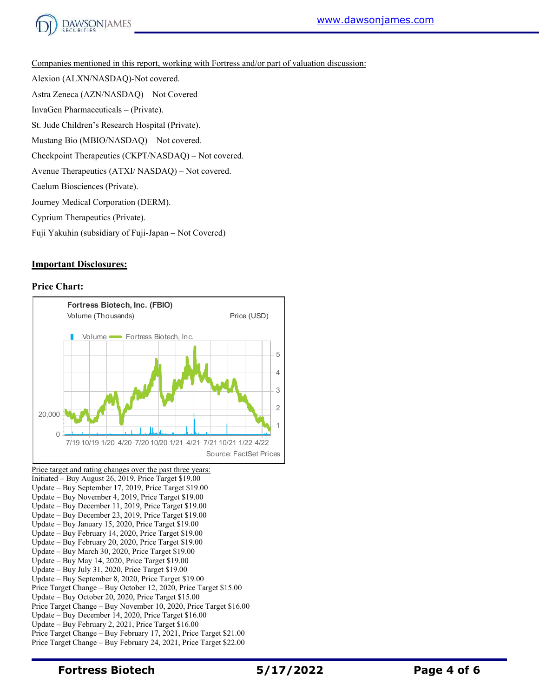

Companies mentioned in this report, working with Fortress and/or part of valuation discussion:

Alexion (ALXN/NASDAQ)-Not covered. Astra Zeneca (AZN/NASDAQ) – Not Covered InvaGen Pharmaceuticals – (Private). St. Jude Children's Research Hospital (Private). Mustang Bio (MBIO/NASDAQ) – Not covered. Checkpoint Therapeutics (CKPT/NASDAQ) – Not covered.

Avenue Therapeutics (ATXI/ NASDAQ) – Not covered.

Caelum Biosciences (Private).

Journey Medical Corporation (DERM).

Cyprium Therapeutics (Private).

Fuji Yakuhin (subsidiary of Fuji-Japan – Not Covered)

### **Important Disclosures:**

#### **Price Chart:**



Update – Buy November 4, 2019, Price Target \$19.00 Update – Buy December 11, 2019, Price Target \$19.00 Update – Buy December 23, 2019, Price Target \$19.00 Update – Buy January 15, 2020, Price Target \$19.00 Update – Buy February 14, 2020, Price Target \$19.00 Update – Buy February 20, 2020, Price Target \$19.00 Update – Buy March 30, 2020, Price Target \$19.00 Update – Buy May 14, 2020, Price Target \$19.00 Update – Buy July 31, 2020, Price Target \$19.00 Update – Buy September 8, 2020, Price Target \$19.00 Price Target Change – Buy October 12, 2020, Price Target \$15.00 Update – Buy October 20, 2020, Price Target \$15.00 Price Target Change – Buy November 10, 2020, Price Target \$16.00 Update – Buy December 14, 2020, Price Target \$16.00 Update – Buy February 2, 2021, Price Target \$16.00 Price Target Change – Buy February 17, 2021, Price Target \$21.00 Price Target Change – Buy February 24, 2021, Price Target \$22.00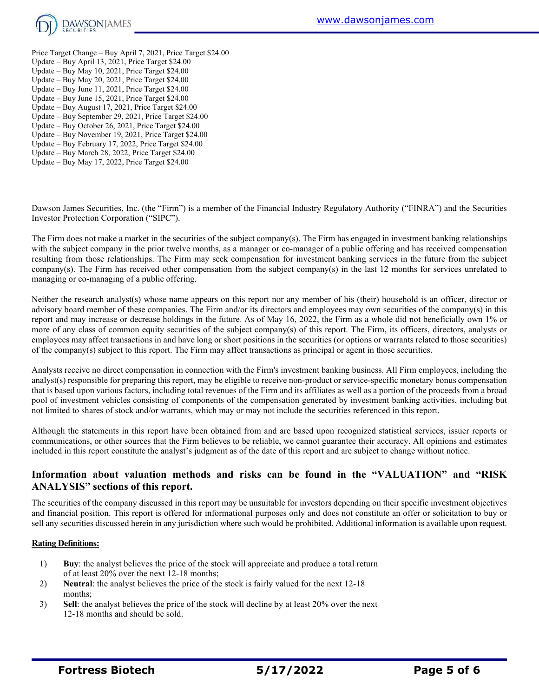

- Price Target Change Buy April 7, 2021, Price Target \$24.00 Update – Buy April 13, 2021, Price Target \$24.00 Update – Buy May 10, 2021, Price Target \$24.00 Update – Buy May 20, 2021, Price Target \$24.00
- Update Buy June 11, 2021, Price Target \$24.00
- Update Buy June 15, 2021, Price Target \$24.00
- Update Buy August 17, 2021, Price Target \$24.00
- Update Buy September 29, 2021, Price Target \$24.00
- Update Buy October 26, 2021, Price Target \$24.00
- Update Buy November 19, 2021, Price Target \$24.00
- Update Buy February 17, 2022, Price Target \$24.00
- Update Buy March 28, 2022, Price Target \$24.00
- Update Buy May 17, 2022, Price Target \$24.00

Dawson James Securities, Inc. (the "Firm") is a member of the Financial Industry Regulatory Authority ("FINRA") and the Securities Investor Protection Corporation ("SIPC").

The Firm does not make a market in the securities of the subject company(s). The Firm has engaged in investment banking relationships with the subject company in the prior twelve months, as a manager or co-manager of a public offering and has received compensation resulting from those relationships. The Firm may seek compensation for investment banking services in the future from the subject company(s). The Firm has received other compensation from the subject company(s) in the last 12 months for services unrelated to managing or co-managing of a public offering.

Neither the research analyst(s) whose name appears on this report nor any member of his (their) household is an officer, director or advisory board member of these companies. The Firm and/or its directors and employees may own securities of the company(s) in this report and may increase or decrease holdings in the future. As of May 16, 2022, the Firm as a whole did not beneficially own 1% or more of any class of common equity securities of the subject company(s) of this report. The Firm, its officers, directors, analysts or employees may affect transactions in and have long or short positions in the securities (or options or warrants related to those securities) of the company(s) subject to this report. The Firm may affect transactions as principal or agent in those securities.

Analysts receive no direct compensation in connection with the Firm's investment banking business. All Firm employees, including the analyst(s) responsible for preparing this report, may be eligible to receive non-product or service-specific monetary bonus compensation that is based upon various factors, including total revenues of the Firm and its affiliates as well as a portion of the proceeds from a broad pool of investment vehicles consisting of components of the compensation generated by investment banking activities, including but not limited to shares of stock and/or warrants, which may or may not include the securities referenced in this report.

Although the statements in this report have been obtained from and are based upon recognized statistical services, issuer reports or communications, or other sources that the Firm believes to be reliable, we cannot guarantee their accuracy. All opinions and estimates included in this report constitute the analyst's judgment as of the date of this report and are subject to change without notice.

# **Information about valuation methods and risks can be found in the "VALUATION" and "RISK ANALYSIS" sections of this report.**

The securities of the company discussed in this report may be unsuitable for investors depending on their specific investment objectives and financial position. This report is offered for informational purposes only and does not constitute an offer or solicitation to buy or sell any securities discussed herein in any jurisdiction where such would be prohibited. Additional information is available upon request.

# **Rating Definitions:**

- 1) **Buy**: the analyst believes the price of the stock will appreciate and produce a total return of at least 20% over the next 12-18 months;
- 2) **Neutral**: the analyst believes the price of the stock is fairly valued for the next 12-18 months;
- 3) **Sell**: the analyst believes the price of the stock will decline by at least 20% over the next 12-18 months and should be sold.